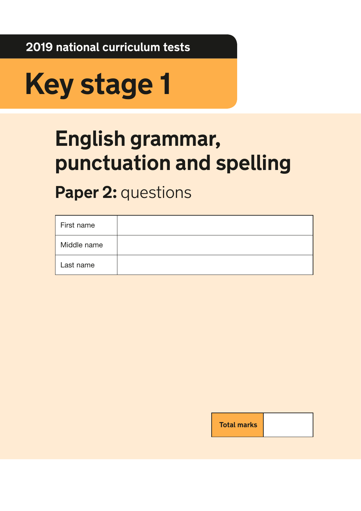**2019 national curriculum tests**

# **Key stage 1**

## **English grammar, punctuation and spelling**

## **Paper 2: questions**

| First name  |  |
|-------------|--|
| Middle name |  |
| Last name   |  |

**Total marks**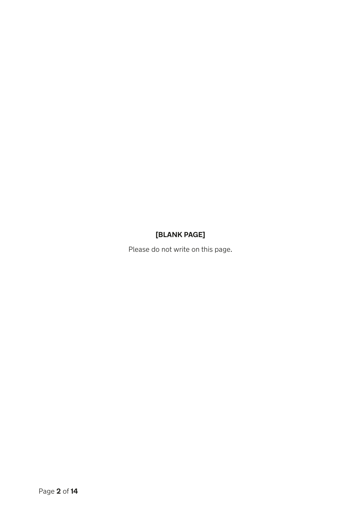## **[BLANK PAGE]**

Please do not write on this page.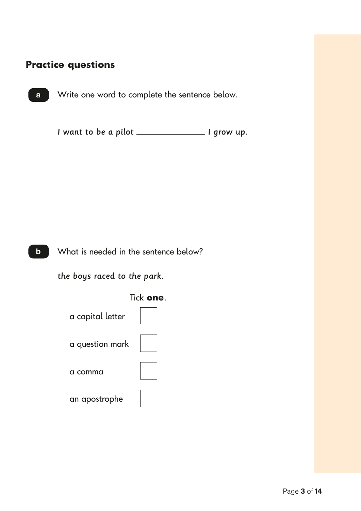### Duactico quection **Practice questions**

a

Write one word to complete the sentence below.

I want to be a pilot \_\_\_\_\_\_\_\_\_\_\_\_\_\_\_\_ I grow up.



the boys raced to the park.

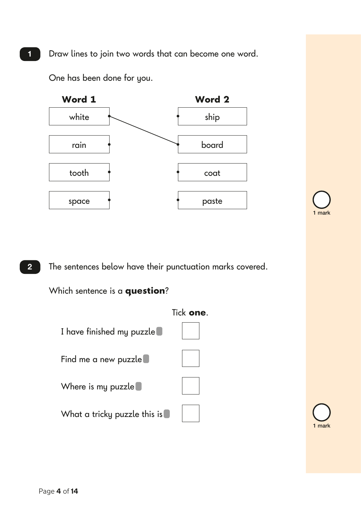Draw lines to join two words that can become one word.

One has been done for you.



The sentences below have their punctuation marks covered.

Which sentence is a **question**?



1 mark

1 mark

1

2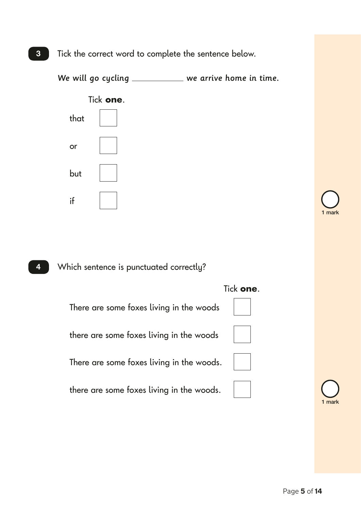









There are some foxes living in the woods

there are some foxes living in the woods

There are some foxes living in the woods.

there are some foxes living in the woods.





1 mark

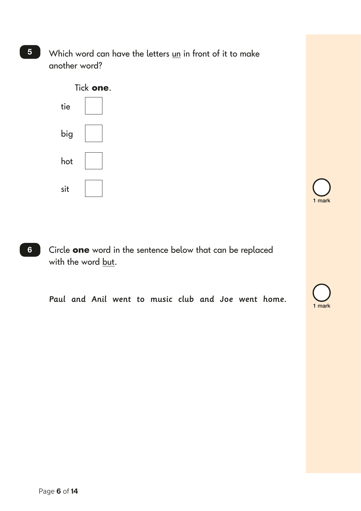Which word can have the letters un in front of it to make another word?



Circle **one** word in the sentence below that can be replaced with the word but. 6

Paul and Anil went to music club and Joe went home.





## 5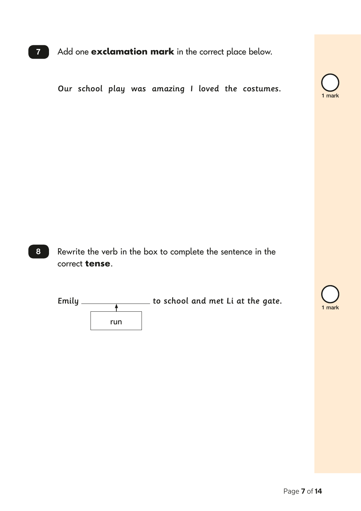7 Add one **exclamation mark** in the correct place below.

Our school play was amazing I loved the costumes.



Rewrite the verb in the box to complete the sentence in the correct **tense**. 8



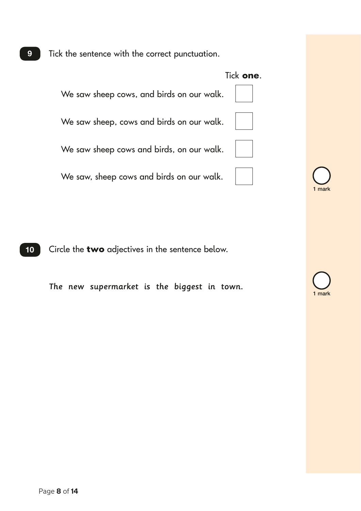Tick the sentence with the correct punctuation.



Circle the **two** adjectives in the sentence below.  $10$ 

The new supermarket is the biggest in town.



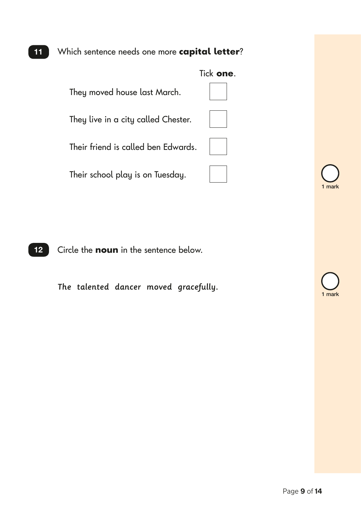## Which sentence needs one more **capital letter**?



Circle the **noun** in the sentence below.  $12$ 

The talented dancer moved gracefully.

mark

1 mark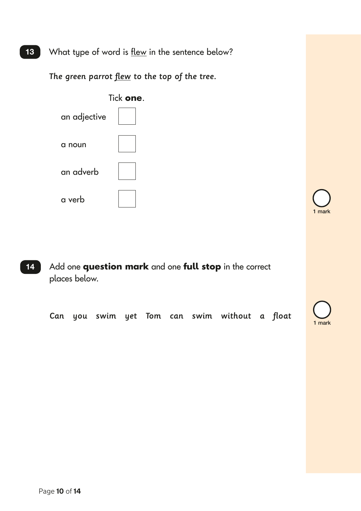What type of word is **flew** in the sentence below?

The green parrot flew to the top of the tree.



1 mark

14 Add one **question mark** and one **full stop** in the correct places below.

Can you swim yet Tom can swim without a float

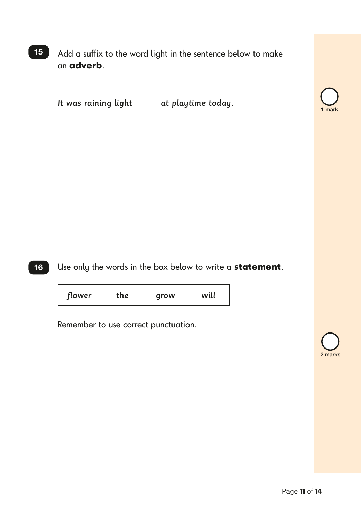Add a suffix to the word light in the sentence below to make an **adverb**. 15

It was raining light at playtime today.



2 marks



Use only the words in the box below to write a **statement**.

flower the grow will

Remember to use correct punctuation.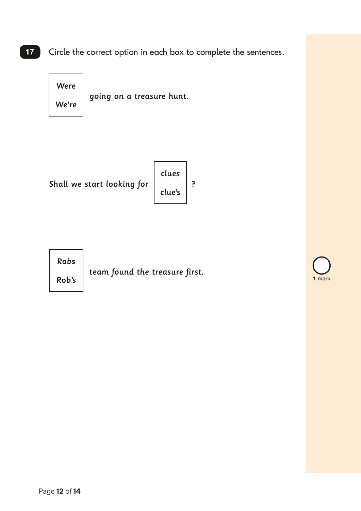Circle the correct option in each box to complete the sentences. 17

> going on a treasure hunt. Were We're

Shall we start looking for  $\Big|$   $\Big|$   $\Big|$   $\Big|$  ?

clues clue's



Rob's  $\Big|$  team found the treasure first.

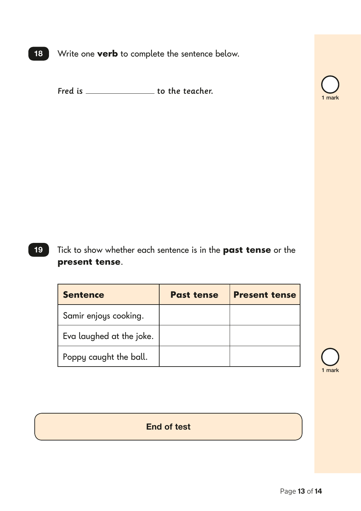Write one **verb** to complete the sentence below.  $18$ 

Fred is \_\_\_\_\_\_\_\_\_\_\_\_\_\_\_\_\_\_\_\_\_ to the teacher.



Tick to show whether each sentence is in the **past tense** or the **present tense**. 19

| <b>Sentence</b>          | <b>Past tense</b> | <b>Present tense</b> |
|--------------------------|-------------------|----------------------|
| Samir enjoys cooking.    |                   |                      |
| Eva laughed at the joke. |                   |                      |
| Poppy caught the ball.   |                   |                      |

1 mark

End of test